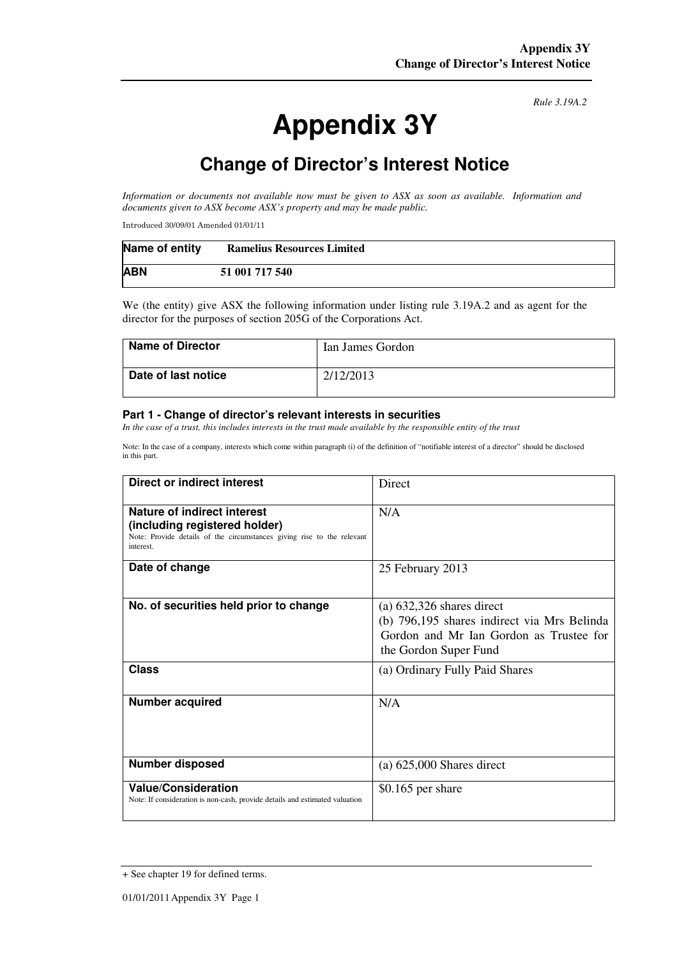# **Appendix 3Y**

*Rule 3.19A.2*

# **Change of Director's Interest Notice**

*Information or documents not available now must be given to ASX as soon as available. Information and documents given to ASX become ASX's property and may be made public.* 

Introduced 30/09/01 Amended 01/01/11

| Name of entity | <b>Ramelius Resources Limited</b> |
|----------------|-----------------------------------|
| <b>ABN</b>     | 51 001 717 540                    |

We (the entity) give ASX the following information under listing rule 3.19A.2 and as agent for the director for the purposes of section 205G of the Corporations Act.

| <b>Name of Director</b> | Ian James Gordon |
|-------------------------|------------------|
| Date of last notice     | 2/12/2013        |

#### **Part 1 - Change of director's relevant interests in securities**

*In the case of a trust, this includes interests in the trust made available by the responsible entity of the trust* 

Note: In the case of a company, interests which come within paragraph (i) of the definition of "notifiable interest of a director" should be disclosed in this part.

| <b>Direct or indirect interest</b>                                                                                                                  | Direct                                                                                                                                         |  |
|-----------------------------------------------------------------------------------------------------------------------------------------------------|------------------------------------------------------------------------------------------------------------------------------------------------|--|
| Nature of indirect interest<br>(including registered holder)<br>Note: Provide details of the circumstances giving rise to the relevant<br>interest. | N/A                                                                                                                                            |  |
| Date of change                                                                                                                                      | 25 February 2013                                                                                                                               |  |
| No. of securities held prior to change                                                                                                              | $(a) 632,326$ shares direct<br>(b) 796,195 shares indirect via Mrs Belinda<br>Gordon and Mr Ian Gordon as Trustee for<br>the Gordon Super Fund |  |
| Class                                                                                                                                               | (a) Ordinary Fully Paid Shares                                                                                                                 |  |
| <b>Number acquired</b>                                                                                                                              | N/A                                                                                                                                            |  |
| Number disposed                                                                                                                                     | $(a) 625,000$ Shares direct                                                                                                                    |  |
| <b>Value/Consideration</b><br>Note: If consideration is non-cash, provide details and estimated valuation                                           | $$0.165$ per share                                                                                                                             |  |

<sup>+</sup> See chapter 19 for defined terms.